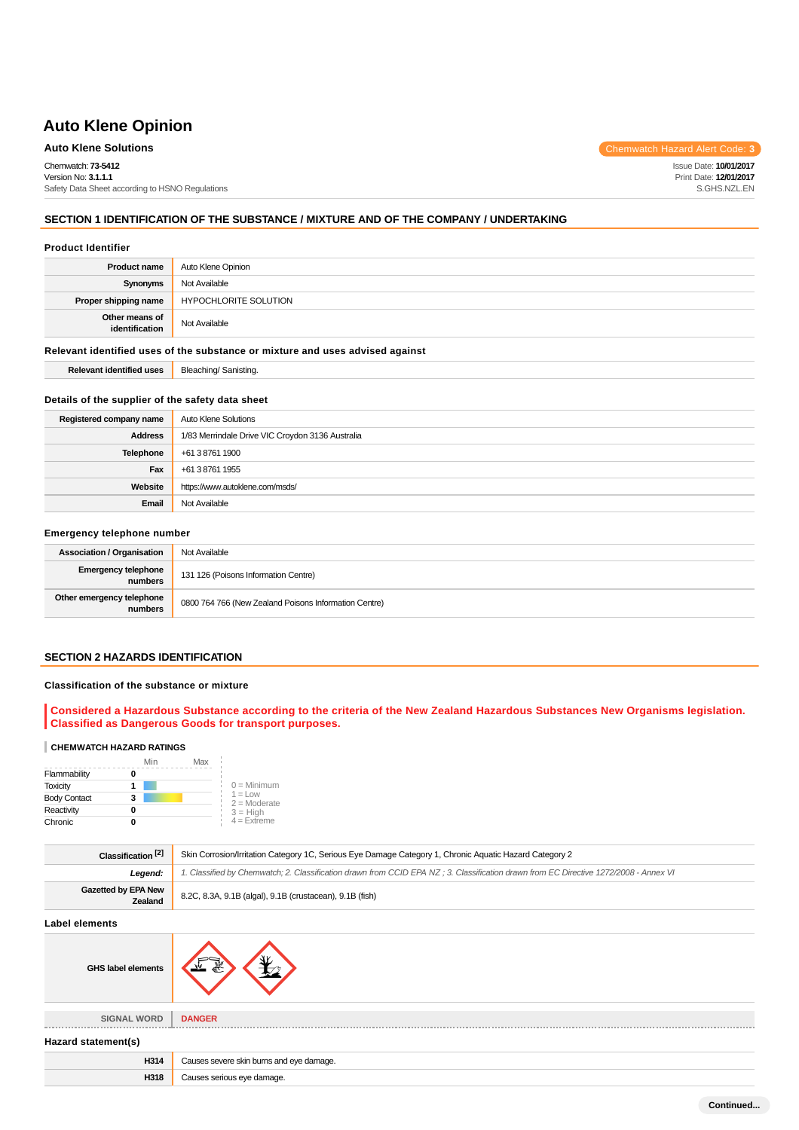Chemwatch: **73-5412** Version No: **3.1.1.1** Safety Data Sheet according to HSNO Regulations

**Auto Klene Solutions** Chemwatch Hazard Alert Code: 3

Issue Date: **10/01/2017** Print Date: **12/01/2017** S.GHS.NZL.EN

## **SECTION 1 IDENTIFICATION OF THE SUBSTANCE / MIXTURE AND OF THE COMPANY / UNDERTAKING**

#### **Product Identifier**

| <b>Product name</b>                                                           | Auto Klene Opinion           |  |
|-------------------------------------------------------------------------------|------------------------------|--|
| Synonyms                                                                      | Not Available                |  |
| Proper shipping name                                                          | <b>HYPOCHLORITE SOLUTION</b> |  |
| Other means of<br>identification                                              | Not Available                |  |
| Relevant identified uses of the substance or mixture and uses advised against |                              |  |
| <b>Relevant identified uses</b>                                               | Bleaching/Sanisting.         |  |

#### **Details of the supplier of the safety data sheet**

| Registered company name | <b>Auto Klene Solutions</b>                      |
|-------------------------|--------------------------------------------------|
| <b>Address</b>          | 1/83 Merrindale Drive VIC Croydon 3136 Australia |
| <b>Telephone</b>        | +61 3 8761 1900                                  |
| Fax                     | +61 3 8761 1955                                  |
| Website                 | https://www.autoklene.com/msds/                  |
| Email                   | Not Available                                    |

### **Emergency telephone number**

| <b>Association / Organisation</b>     | Not Available                                         |  |
|---------------------------------------|-------------------------------------------------------|--|
| <b>Emergency telephone</b><br>numbers | 131 126 (Poisons Information Centre)                  |  |
| Other emergency telephone<br>numbers  | 0800 764 766 (New Zealand Poisons Information Centre) |  |

## **SECTION 2 HAZARDS IDENTIFICATION**

## **Classification of the substance or mixture**

## **Considered a Hazardous Substance according to the criteria of the New Zealand Hazardous Substances New Organisms legislation. Classified as Dangerous Goods for transport purposes.**

### **CHEMWATCH HAZARD RATINGS**

|                     | Min | Max |                              |
|---------------------|-----|-----|------------------------------|
| Flammability        |     |     |                              |
| <b>Toxicity</b>     |     |     | $0 =$ Minimum                |
| <b>Body Contact</b> | 3   |     | $1 = 1$ ow<br>$2 =$ Moderate |
| Reactivity          |     |     | $3 = High$                   |
| Chronic             |     |     | $4 =$ Extreme                |

| Classification <sup>[2]</sup>  | Skin Corrosion/Irritation Category 1C, Serious Eye Damage Category 1, Chronic Aquatic Hazard Category 2                              |  |
|--------------------------------|--------------------------------------------------------------------------------------------------------------------------------------|--|
| Leaend:                        | 1. Classified by Chemwatch; 2. Classification drawn from CCID EPA NZ; 3. Classification drawn from EC Directive 1272/2008 - Annex VI |  |
| Gazetted by EPA New<br>Zealand | 8.2C, 8.3A, 9.1B (algal), 9.1B (crustacean), 9.1B (fish)                                                                             |  |

## **Label elements**

| <b>GHS label elements</b> | УK                                                 |
|---------------------------|----------------------------------------------------|
|                           |                                                    |
| <b>SIGNAL WORD</b><br>    | <b>DANGER</b><br>--------------------------------- |

**Hazard statement(s)**

| H314 | Causes severe skin burns and eye damage. |
|------|------------------------------------------|
| H318 | Causes serious eye damage.               |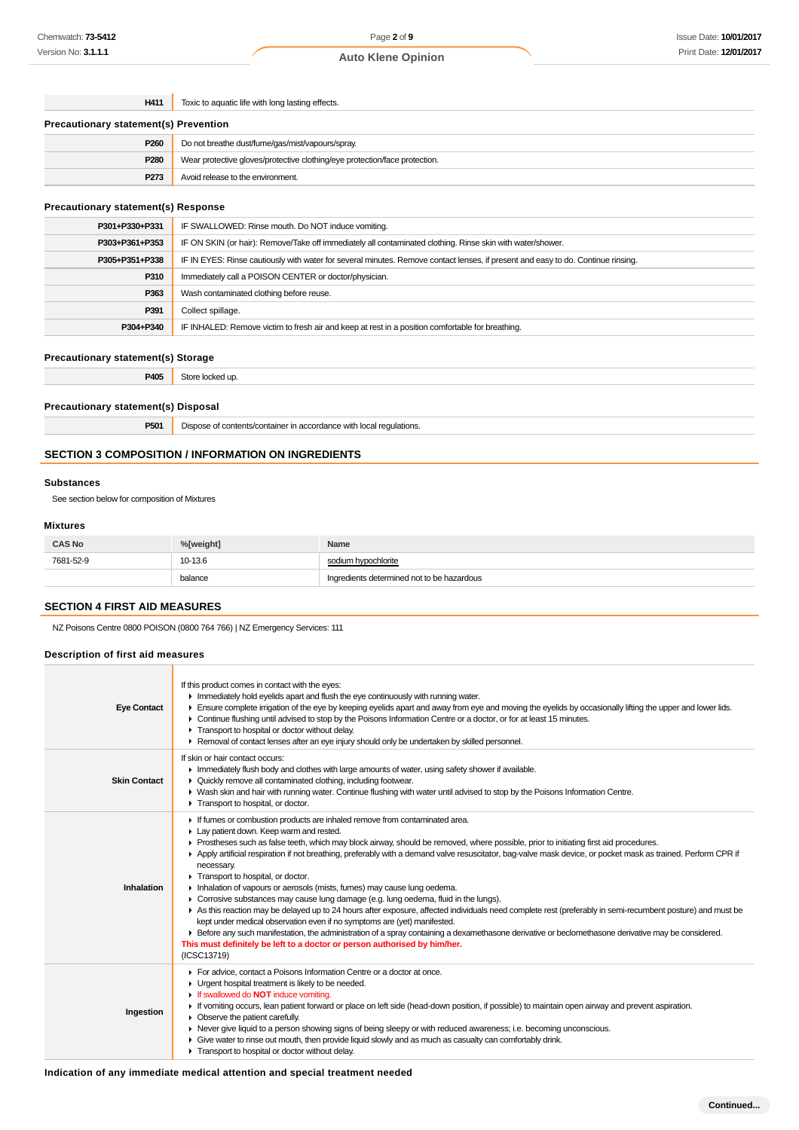**H411** Toxic to aquatic life with long lasting effects.

| <b>Precautionary statement(s) Prevention</b> |                                                                            |  |
|----------------------------------------------|----------------------------------------------------------------------------|--|
| P260                                         | Do not breathe dust/fume/gas/mist/vapours/spray.                           |  |
| P280                                         | Wear protective gloves/protective clothing/eye protection/face protection. |  |
| P273                                         | Avoid release to the environment.                                          |  |

## **Precautionary statement(s) Response**

| P301+P330+P331 | IF SWALLOWED: Rinse mouth. Do NOT induce vomiting.                                                                               |  |
|----------------|----------------------------------------------------------------------------------------------------------------------------------|--|
| P303+P361+P353 | IF ON SKIN (or hair): Remove/Take off immediately all contaminated clothing. Rinse skin with water/shower.                       |  |
| P305+P351+P338 | IF IN EYES: Rinse cautiously with water for several minutes. Remove contact lenses, if present and easy to do. Continue rinsing. |  |
| P310           | Immediately call a POISON CENTER or doctor/physician.                                                                            |  |
| P363           | Wash contaminated clothing before reuse.                                                                                         |  |
| P391           | Collect spillage.                                                                                                                |  |
| P304+P340      | IF INHALED: Remove victim to fresh air and keep at rest in a position comfortable for breathing.                                 |  |

### **Precautionary statement(s) Storage**

**P405** Store locked up.

#### **Precautionary statement(s) Disposal**

**P501** Dispose of contents/container in accordance with local regulations.

### **SECTION 3 COMPOSITION / INFORMATION ON INGREDIENTS**

#### **Substances**

See section below for composition of Mixtures

#### **Mixtures**

| <b>CAS No</b> | %[weight] | Name                                       |
|---------------|-----------|--------------------------------------------|
| 7681-52-9     | 10-13.6   | sodium hypochlorite                        |
|               | balance   | Ingredients determined not to be hazardous |

## **SECTION 4 FIRST AID MEASURES**

NZ Poisons Centre 0800 POISON (0800 764 766) | NZ Emergency Services: 111

### **Description of first aid measures**

| <b>Eye Contact</b>  | If this product comes in contact with the eyes:<br>In Immediately hold eyelids apart and flush the eye continuously with running water.<br>Ensure complete irrigation of the eye by keeping eyelids apart and away from eye and moving the eyelids by occasionally lifting the upper and lower lids.<br>► Continue flushing until advised to stop by the Poisons Information Centre or a doctor, or for at least 15 minutes.<br>F Transport to hospital or doctor without delay.<br>► Removal of contact lenses after an eye injury should only be undertaken by skilled personnel.                                                                                                                                                                                                                                                                                                                                                                                                                                                                                                                                                                |
|---------------------|----------------------------------------------------------------------------------------------------------------------------------------------------------------------------------------------------------------------------------------------------------------------------------------------------------------------------------------------------------------------------------------------------------------------------------------------------------------------------------------------------------------------------------------------------------------------------------------------------------------------------------------------------------------------------------------------------------------------------------------------------------------------------------------------------------------------------------------------------------------------------------------------------------------------------------------------------------------------------------------------------------------------------------------------------------------------------------------------------------------------------------------------------|
| <b>Skin Contact</b> | If skin or hair contact occurs:<br>Immediately flush body and clothes with large amounts of water, using safety shower if available.<br>• Quickly remove all contaminated clothing, including footwear.<br>► Wash skin and hair with running water. Continue flushing with water until advised to stop by the Poisons Information Centre.<br>Transport to hospital, or doctor.                                                                                                                                                                                                                                                                                                                                                                                                                                                                                                                                                                                                                                                                                                                                                                     |
| Inhalation          | If fumes or combustion products are inhaled remove from contaminated area.<br>Lay patient down. Keep warm and rested.<br>► Prostheses such as false teeth, which may block airway, should be removed, where possible, prior to initiating first aid procedures.<br>Apply artificial respiration if not breathing, preferably with a demand valve resuscitator, bag-valve mask device, or pocket mask as trained. Perform CPR if<br>necessary.<br>Transport to hospital, or doctor.<br>Inhalation of vapours or aerosols (mists, fumes) may cause lung oedema.<br>• Corrosive substances may cause lung damage (e.g. lung oedema, fluid in the lungs).<br>As this reaction may be delayed up to 24 hours after exposure, affected individuals need complete rest (preferably in semi-recumbent posture) and must be<br>kept under medical observation even if no symptoms are (yet) manifested.<br>E Before any such manifestation, the administration of a spray containing a dexamethasone derivative or beclomethasone derivative may be considered.<br>This must definitely be left to a doctor or person authorised by him/her.<br>(ICSC13719) |
| Ingestion           | For advice, contact a Poisons Information Centre or a doctor at once.<br>Urgent hospital treatment is likely to be needed.<br>If swallowed do <b>NOT</b> induce vomiting.<br>If vomiting occurs, lean patient forward or place on left side (head-down position, if possible) to maintain open airway and prevent aspiration.<br>• Observe the patient carefully.<br>▶ Never give liquid to a person showing signs of being sleepy or with reduced awareness; i.e. becoming unconscious.<br>Give water to rinse out mouth, then provide liquid slowly and as much as casualty can comfortably drink.<br>Transport to hospital or doctor without delay.                                                                                                                                                                                                                                                                                                                                                                                                                                                                                             |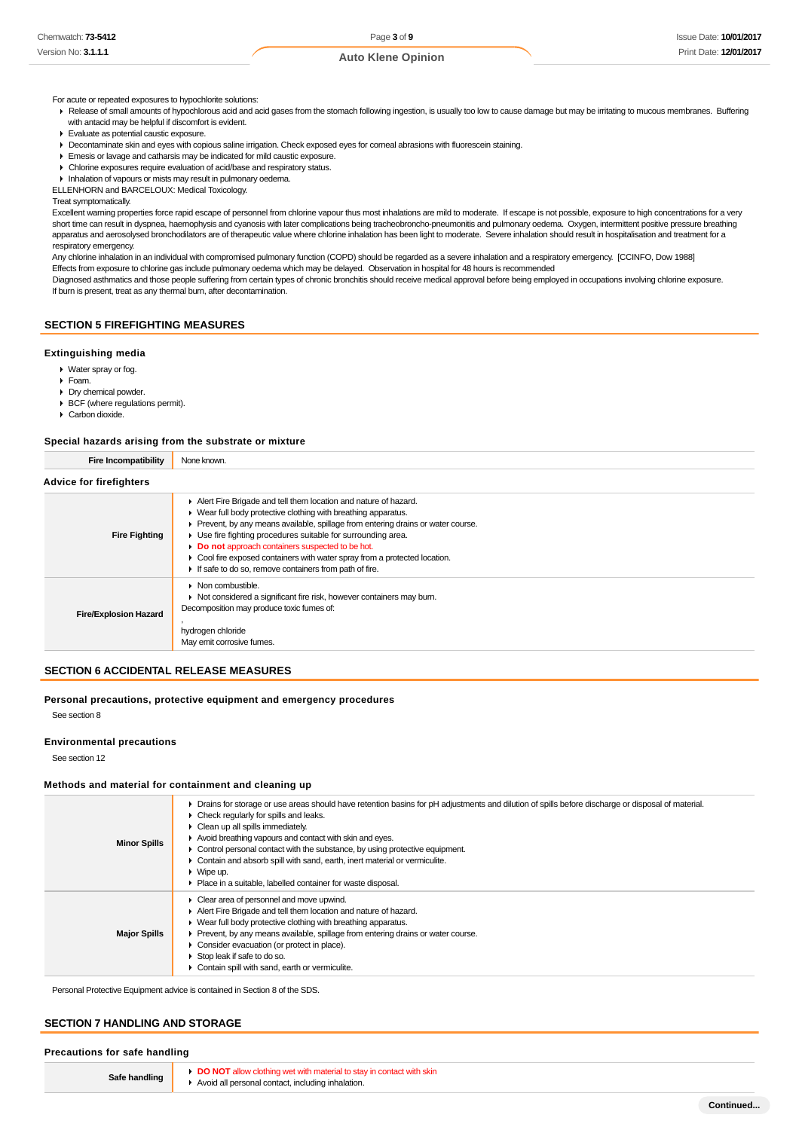#### For acute or repeated exposures to hypochlorite solutions:

▶ Release of small amounts of hypochlorous acid and acid gases from the stomach following ingestion, is usually too low to cause damage but may be irritating to mucous membranes. Buffering with antacid may be helpful if discomfort is evident.

- Evaluate as potential caustic exposure.
- Decontaminate skin and eyes with copious saline irrigation. Check exposed eyes for corneal abrasions with fluorescein staining.
- Emesis or lavage and catharsis may be indicated for mild caustic exposure.
- Chlorine exposures require evaluation of acid/base and respiratory status.

**Inhalation of vapours or mists may result in pulmonary oedema.** 

ELLENHORN and BARCELOUX: Medical Toxicology.

Treat symptomatically.

Excellent warning properties force rapid escape of personnel from chlorine vapour thus most inhalations are mild to moderate. If escape is not possible, exposure to high concentrations for a very short time can result in dyspnea, haemophysis and cyanosis with later complications being tracheobroncho-pneumonitis and pulmonary oedema. Oxygen, intermittent positive pressure breathing apparatus and aerosolysed bronchodilators are of therapeutic value where chlorine inhalation has been light to moderate. Severe inhalation should result in hospitalisation and treatment for a respiratory emergency.

Any chlorine inhalation in an individual with compromised pulmonary function (COPD) should be regarded as a severe inhalation and a respiratory emergency. [CCINFO, Dow 1988] Effects from exposure to chlorine gas include pulmonary oedema which may be delayed. Observation in hospital for 48 hours is recommended

Diagnosed asthmatics and those people suffering from certain types of chronic bronchitis should receive medical approval before being employed in occupations involving chlorine exposure. If burn is present, treat as any thermal burn, after decontamination.

## **SECTION 5 FIREFIGHTING MEASURES**

#### **Extinguishing media**

- Water spray or fog.
- Foam.
- Dry chemical powder.
- ▶ BCF (where regulations permit).
- Carbon dioxide.

#### **Special hazards arising from the substrate or mixture**

| <b>Fire Incompatibility</b>    | None known.                                                                                                                                                                                                                                                                                                                                                                                                                                                                        |  |  |
|--------------------------------|------------------------------------------------------------------------------------------------------------------------------------------------------------------------------------------------------------------------------------------------------------------------------------------------------------------------------------------------------------------------------------------------------------------------------------------------------------------------------------|--|--|
| <b>Advice for firefighters</b> |                                                                                                                                                                                                                                                                                                                                                                                                                                                                                    |  |  |
| <b>Fire Fighting</b>           | Alert Fire Brigade and tell them location and nature of hazard.<br>• Wear full body protective clothing with breathing apparatus.<br>• Prevent, by any means available, spillage from entering drains or water course.<br>• Use fire fighting procedures suitable for surrounding area.<br>Do not approach containers suspected to be hot.<br>• Cool fire exposed containers with water spray from a protected location.<br>If safe to do so, remove containers from path of fire. |  |  |
| <b>Fire/Explosion Hazard</b>   | $\triangleright$ Non combustible.<br>• Not considered a significant fire risk, however containers may burn.<br>Decomposition may produce toxic fumes of:<br>hydrogen chloride<br>May emit corrosive fumes.                                                                                                                                                                                                                                                                         |  |  |

## **SECTION 6 ACCIDENTAL RELEASE MEASURES**

#### **Personal precautions, protective equipment and emergency procedures**

See section 8

### **Environmental precautions**

See section 12

#### **Methods and material for containment and cleaning up**

| <b>Minor Spills</b> | Drains for storage or use areas should have retention basins for pH adjustments and dilution of spills before discharge or disposal of material.<br>Check regularly for spills and leaks.<br>$\triangleright$ Clean up all spills immediately.<br>Avoid breathing vapours and contact with skin and eyes.<br>• Control personal contact with the substance, by using protective equipment.<br>• Contain and absorb spill with sand, earth, inert material or vermiculite.<br>$\triangleright$ Wipe up.<br>• Place in a suitable, labelled container for waste disposal. |
|---------------------|-------------------------------------------------------------------------------------------------------------------------------------------------------------------------------------------------------------------------------------------------------------------------------------------------------------------------------------------------------------------------------------------------------------------------------------------------------------------------------------------------------------------------------------------------------------------------|
| <b>Major Spills</b> | • Clear area of personnel and move upwind.<br>Alert Fire Brigade and tell them location and nature of hazard.<br>• Wear full body protective clothing with breathing apparatus.<br>• Prevent, by any means available, spillage from entering drains or water course.<br>• Consider evacuation (or protect in place).<br>Stop leak if safe to do so.<br>• Contain spill with sand, earth or vermiculite.                                                                                                                                                                 |

Personal Protective Equipment advice is contained in Section 8 of the SDS.

#### **SECTION 7 HANDLING AND STORAGE**

#### **Precautions for safe handling**

|  | Safe handling |
|--|---------------|
|--|---------------|

**DO NOT** allow clothing wet with material to stay in contact with skin ▶ Avoid all personal contact, including inhalation.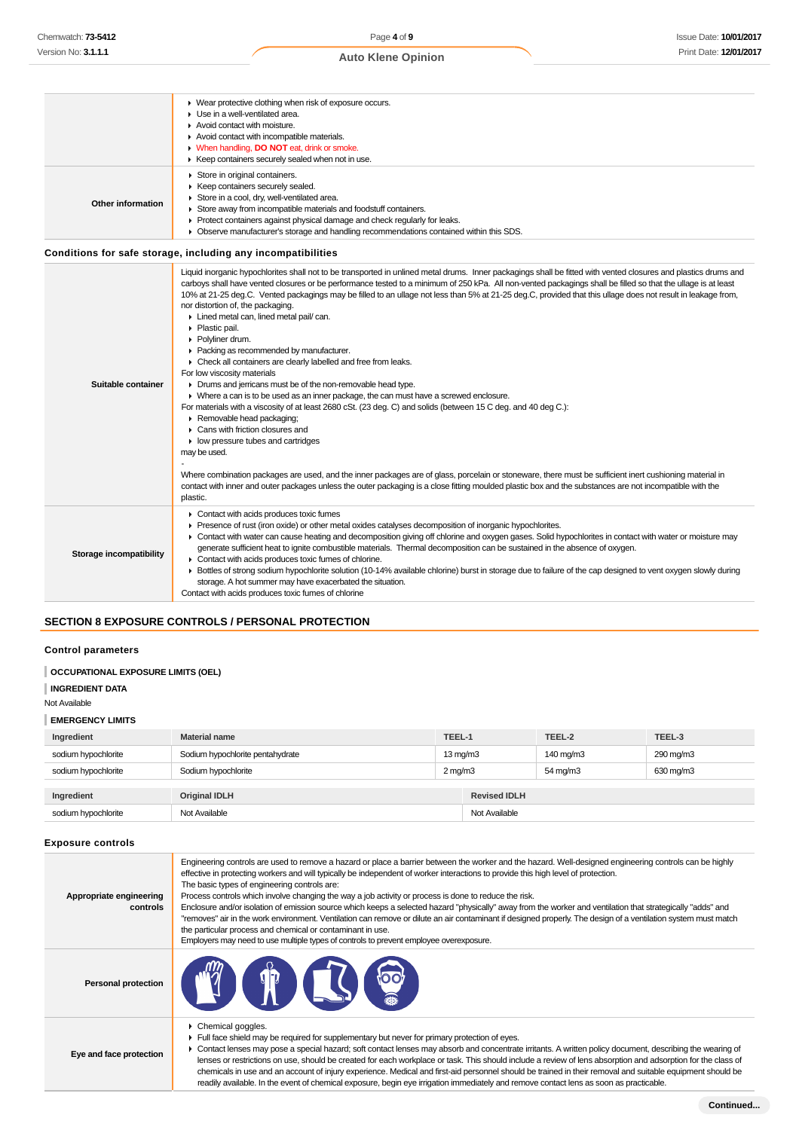#### Wear protective clothing when risk of exposure occurs. Use in a well-ventilated area. ▶ Avoid contact with moisture. ▶ Avoid contact with incompatible materials. When handling, **DO NOT** eat, drink or smoke. ٠  $\triangleright$  Keep containers securely sealed when not in use. ▶ Store in original containers. Keep containers securely sealed. Store in a cool, dry, well-ventilated area. **Other information** Store away from incompatible materials and foodstuff containers. Protect containers against physical damage and check regularly for leaks. Observe manufacturer's storage and handling recommendations contained within this SDS. **Conditions for safe storage, including any incompatibilities** Liquid inorganic hypochlorites shall not to be transported in unlined metal drums. Inner packagings shall be fitted with vented closures and plastics drums and carboys shall have vented closures or be performance tested to a minimum of 250 kPa. All non-vented packagings shall be filled so that the ullage is at least 10% at 21-25 deg.C. Vented packagings may be filled to an ullage not less than 5% at 21-25 deg.C, provided that this ullage does not result in leakage from, nor distortion of, the packaging. **Lined metal can, lined metal pail/ can.** Plastic pail. ▶ Polyliner drum. Packing as recommended by manufacturer. ► Check all containers are clearly labelled and free from leaks. For low viscosity materials **Suitable container** Drums and jerricans must be of the non-removable head type. Where a can is to be used as an inner package, the can must have a screwed enclosure. For materials with a viscosity of at least 2680 cSt. (23 deg. C) and solids (between 15 C deg. and 40 deg C.): ▶ Removable head packaging; Cans with friction closures and  $\blacktriangleright$  low pressure tubes and cartridges may be used. - Where combination packages are used, and the inner packages are of glass, porcelain or stoneware, there must be sufficient inert cushioning material in contact with inner and outer packages unless the outer packaging is a close fitting moulded plastic box and the substances are not incompatible with the plastic. ▶ Contact with acids produces toxic fumes Presence of rust (iron oxide) or other metal oxides catalyses decomposition of inorganic hypochlorites. Contact with water can cause heating and decomposition giving off chlorine and oxygen gases. Solid hypochlorites in contact with water or moisture may generate sufficient heat to ignite combustible materials. Thermal decomposition can be sustained in the absence of oxygen. **Storage incompatibility** Contact with acids produces toxic fumes of chlorine. Bottles of strong sodium hypochlorite solution (10-14% available chlorine) burst in storage due to failure of the cap designed to vent oxygen slowly during storage. A hot summer may have exacerbated the situation. Contact with acids produces toxic fumes of chlorine

## **SECTION 8 EXPOSURE CONTROLS / PERSONAL PROTECTION**

#### **Control parameters**

#### **OCCUPATIONAL EXPOSURE LIMITS (OEL)**

```
INGREDIENT DATA
```
Not Available

#### **EMERGENCY LIMITS**

| Ingredient          | <b>Material name</b>             | TEEL-1            |                     | TEEL-2    | TEEL-3    |
|---------------------|----------------------------------|-------------------|---------------------|-----------|-----------|
| sodium hypochlorite | Sodium hypochlorite pentahydrate | $13 \text{ mg/m}$ |                     | 140 mg/m3 | 290 mg/m3 |
| sodium hypochlorite | Sodium hypochlorite              | $2 \text{ mg/m}$  |                     | 54 mg/m3  | 630 mg/m3 |
|                     |                                  |                   |                     |           |           |
| Ingredient          | <b>Original IDLH</b>             |                   | <b>Revised IDLH</b> |           |           |
| sodium hypochlorite | Not Available                    |                   | Not Available       |           |           |

#### **Exposure controls**

| Appropriate engineering<br>controls | Engineering controls are used to remove a hazard or place a barrier between the worker and the hazard. Well-designed engineering controls can be highly<br>effective in protecting workers and will typically be independent of worker interactions to provide this high level of protection.<br>The basic types of engineering controls are:<br>Process controls which involve changing the way a job activity or process is done to reduce the risk.<br>Enclosure and/or isolation of emission source which keeps a selected hazard "physically" away from the worker and ventilation that strategically "adds" and<br>"removes" air in the work environment. Ventilation can remove or dilute an air contaminant if designed properly. The design of a ventilation system must match<br>the particular process and chemical or contaminant in use.<br>Employers may need to use multiple types of controls to prevent employee overexposure. |
|-------------------------------------|-------------------------------------------------------------------------------------------------------------------------------------------------------------------------------------------------------------------------------------------------------------------------------------------------------------------------------------------------------------------------------------------------------------------------------------------------------------------------------------------------------------------------------------------------------------------------------------------------------------------------------------------------------------------------------------------------------------------------------------------------------------------------------------------------------------------------------------------------------------------------------------------------------------------------------------------------|
| <b>Personal protection</b>          | <b>THE THE THE THE TEST</b><br><b>POOT</b>                                                                                                                                                                                                                                                                                                                                                                                                                                                                                                                                                                                                                                                                                                                                                                                                                                                                                                      |
| Eye and face protection             | $\triangleright$ Chemical goggles.<br>Full face shield may be required for supplementary but never for primary protection of eyes.<br>• Contact lenses may pose a special hazard; soft contact lenses may absorb and concentrate irritants. A written policy document, describing the wearing of<br>lenses or restrictions on use, should be created for each workplace or task. This should include a review of lens absorption and adsorption for the class of<br>chemicals in use and an account of injury experience. Medical and first-aid personnel should be trained in their removal and suitable equipment should be<br>readily available. In the event of chemical exposure, begin eve irrigation immediately and remove contact lens as soon as practicable.                                                                                                                                                                         |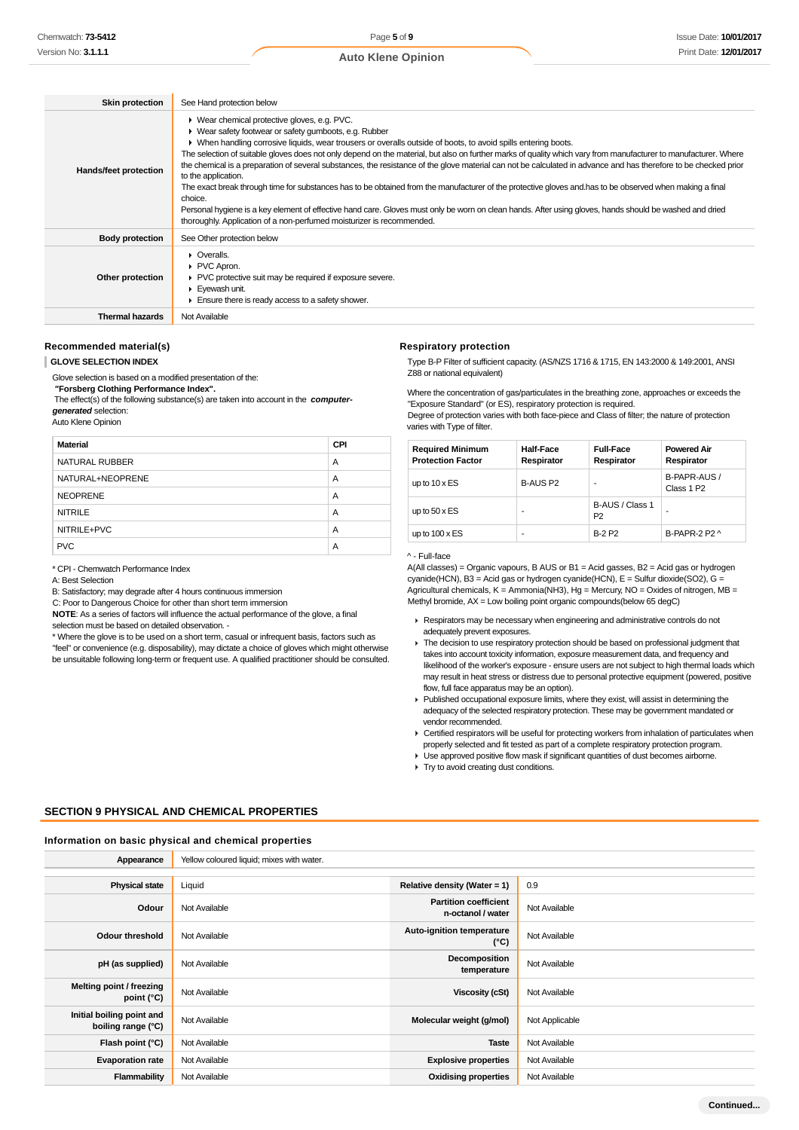| <b>Skin protection</b> | See Hand protection below                                                                                                                                                                                                                                                                                                                                                                                                                                                                                                                                                                                                                                                                                                                                                                                                                                                                                                                                                                         |
|------------------------|---------------------------------------------------------------------------------------------------------------------------------------------------------------------------------------------------------------------------------------------------------------------------------------------------------------------------------------------------------------------------------------------------------------------------------------------------------------------------------------------------------------------------------------------------------------------------------------------------------------------------------------------------------------------------------------------------------------------------------------------------------------------------------------------------------------------------------------------------------------------------------------------------------------------------------------------------------------------------------------------------|
| Hands/feet protection  | ▶ Wear chemical protective gloves, e.g. PVC.<br>• Wear safety footwear or safety gumboots, e.g. Rubber<br>• When handling corrosive liquids, wear trousers or overalls outside of boots, to avoid spills entering boots.<br>The selection of suitable gloves does not only depend on the material, but also on further marks of quality which vary from manufacturer to manufacturer. Where<br>the chemical is a preparation of several substances, the resistance of the glove material can not be calculated in advance and has therefore to be checked prior<br>to the application.<br>The exact break through time for substances has to be obtained from the manufacturer of the protective gloves and has to be observed when making a final<br>choice.<br>Personal hygiene is a key element of effective hand care. Gloves must only be worn on clean hands. After using gloves, hands should be washed and dried<br>thoroughly. Application of a non-perfumed moisturizer is recommended. |
| <b>Body protection</b> | See Other protection below                                                                                                                                                                                                                                                                                                                                                                                                                                                                                                                                                                                                                                                                                                                                                                                                                                                                                                                                                                        |
| Other protection       | $\triangleright$ Overalls.<br>PVC Apron.<br>▶ PVC protective suit may be required if exposure severe.<br>Eyewash unit.<br>Ensure there is ready access to a safety shower.                                                                                                                                                                                                                                                                                                                                                                                                                                                                                                                                                                                                                                                                                                                                                                                                                        |
| <b>Thermal hazards</b> | Not Available                                                                                                                                                                                                                                                                                                                                                                                                                                                                                                                                                                                                                                                                                                                                                                                                                                                                                                                                                                                     |

#### **Recommended material(s)**

#### **GLOVE SELECTION INDEX**

Glove selection is based on a modified presentation of the:

 **"Forsberg Clothing Performance Index".**

 The effect(s) of the following substance(s) are taken into account in the **computergenerated** selection:

Auto Klene Opinion

| <b>Material</b>  | <b>CPI</b> |
|------------------|------------|
| NATURAL RUBBER   | A          |
| NATURAL+NEOPRENE | A          |
| <b>NEOPRENE</b>  | A          |
| <b>NITRILE</b>   | A          |
| NITRILE+PVC      | A          |
| <b>PVC</b>       | А          |

\* CPI - Chemwatch Performance Index

A: Best Selection

B: Satisfactory; may degrade after 4 hours continuous immersion

C: Poor to Dangerous Choice for other than short term immersion

**NOTE**: As a series of factors will influence the actual performance of the glove, a final selection must be based on detailed observation. -

\* Where the glove is to be used on a short term, casual or infrequent basis, factors such as "feel" or convenience (e.g. disposability), may dictate a choice of gloves which might otherwise be unsuitable following long-term or frequent use. A qualified practitioner should be consulted.

### **Respiratory protection**

Type B-P Filter of sufficient capacity. (AS/NZS 1716 & 1715, EN 143:2000 & 149:2001, ANSI Z88 or national equivalent)

Where the concentration of gas/particulates in the breathing zone, approaches or exceeds the "Exposure Standard" (or ES), respiratory protection is required.

Degree of protection varies with both face-piece and Class of filter; the nature of protection varies with Type of filter.

| <b>Required Minimum</b><br><b>Protection Factor</b> | <b>Half-Face</b><br>Respirator | <b>Full-Face</b><br>Respirator    | <b>Powered Air</b><br>Respirator       |
|-----------------------------------------------------|--------------------------------|-----------------------------------|----------------------------------------|
| up to $10 \times ES$                                | B-AUS P2                       |                                   | B-PAPR-AUS /<br>Class 1 P <sub>2</sub> |
| up to $50 \times ES$                                | ۰                              | B-AUS / Class 1<br>P <sub>2</sub> |                                        |
| up to $100 \times ES$                               | ۰                              | <b>B-2 P2</b>                     | B-PAPR-2 P2 ^                          |

## ^ - Full-face

A(All classes) = Organic vapours, B AUS or B1 = Acid gasses, B2 = Acid gas or hydrogen cyanide(HCN), B3 = Acid gas or hydrogen cyanide(HCN), E = Sulfur dioxide(SO2), G = Agricultural chemicals,  $K =$  Ammonia(NH3),  $Hg =$  Mercury, NO = Oxides of nitrogen, MB = Methyl bromide, AX = Low boiling point organic compounds(below 65 degC)

- Respirators may be necessary when engineering and administrative controls do not adequately prevent exposures.
- The decision to use respiratory protection should be based on professional judgment that takes into account toxicity information, exposure measurement data, and frequency and likelihood of the worker's exposure - ensure users are not subject to high thermal loads which may result in heat stress or distress due to personal protective equipment (powered, positive flow, full face apparatus may be an option).
- Published occupational exposure limits, where they exist, will assist in determining the adequacy of the selected respiratory protection. These may be government mandated or vendor recommended.
- Certified respirators will be useful for protecting workers from inhalation of particulates when properly selected and fit tested as part of a complete respiratory protection program.
- Use approved positive flow mask if significant quantities of dust becomes airborne.
- **Try to avoid creating dust conditions.**

#### **SECTION 9 PHYSICAL AND CHEMICAL PROPERTIES**

#### **Information on basic physical and chemical properties**

| Appearance                                      | Yellow coloured liquid; mixes with water. |                                                   |                |
|-------------------------------------------------|-------------------------------------------|---------------------------------------------------|----------------|
|                                                 |                                           |                                                   |                |
| <b>Physical state</b>                           | Liquid                                    | Relative density (Water = 1)                      | 0.9            |
| Odour                                           | Not Available                             | <b>Partition coefficient</b><br>n-octanol / water | Not Available  |
| <b>Odour threshold</b>                          | Not Available                             | Auto-ignition temperature<br>$(^{\circ}C)$        | Not Available  |
| pH (as supplied)                                | Not Available                             | Decomposition<br>temperature                      | Not Available  |
| Melting point / freezing<br>point (°C)          | Not Available                             | <b>Viscosity (cSt)</b>                            | Not Available  |
| Initial boiling point and<br>boiling range (°C) | Not Available                             | Molecular weight (g/mol)                          | Not Applicable |
| Flash point (°C)                                | Not Available                             | <b>Taste</b>                                      | Not Available  |
| <b>Evaporation rate</b>                         | Not Available                             | <b>Explosive properties</b>                       | Not Available  |
| Flammability                                    | Not Available                             | <b>Oxidising properties</b>                       | Not Available  |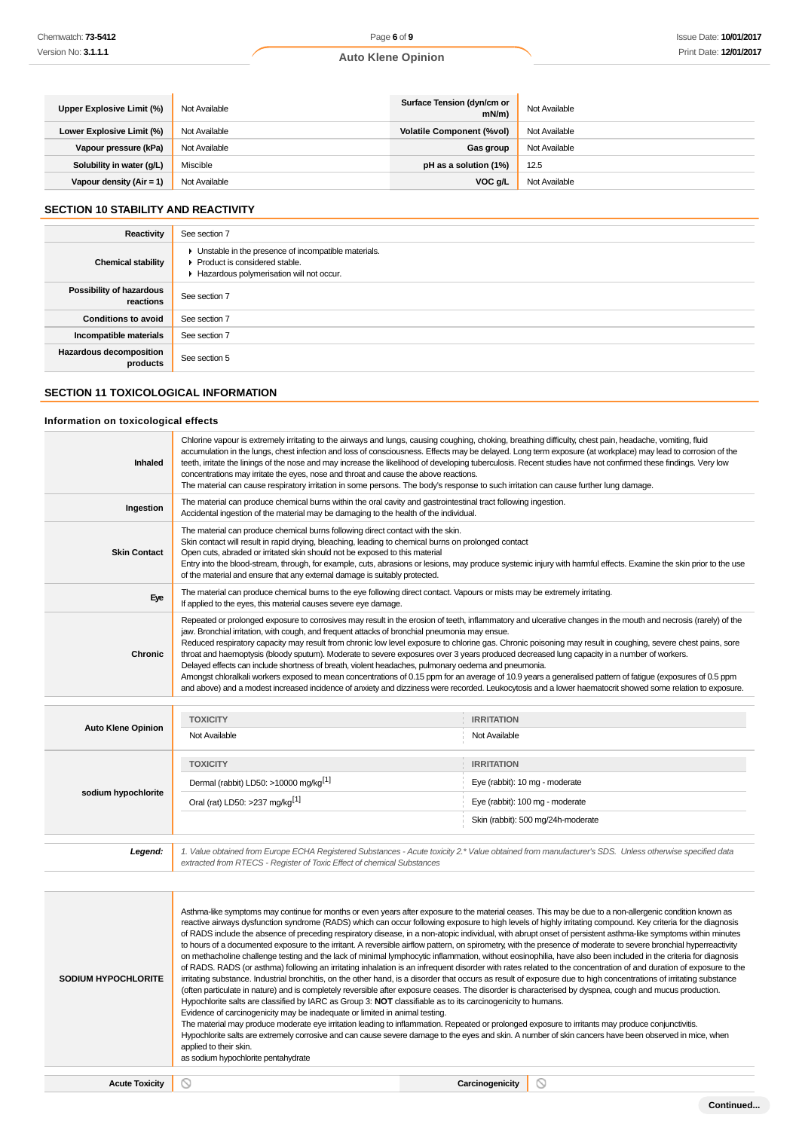| Upper Explosive Limit (%)  | Not Available | Surface Tension (dyn/cm or<br>mN/m | Not Available |
|----------------------------|---------------|------------------------------------|---------------|
| Lower Explosive Limit (%)  | Not Available | <b>Volatile Component (%vol)</b>   | Not Available |
| Vapour pressure (kPa)      | Not Available | Gas group                          | Not Available |
| Solubility in water (g/L)  | Miscible      | pH as a solution (1%)              | 12.5          |
| Vapour density $(Air = 1)$ | Not Available | VOC g/L                            | Not Available |

## **SECTION 10 STABILITY AND REACTIVITY**

| Reactivity                                 | See section 7                                                                                                                        |
|--------------------------------------------|--------------------------------------------------------------------------------------------------------------------------------------|
| <b>Chemical stability</b>                  | • Unstable in the presence of incompatible materials.<br>▶ Product is considered stable.<br>Hazardous polymerisation will not occur. |
| Possibility of hazardous<br>reactions      | See section 7                                                                                                                        |
| <b>Conditions to avoid</b>                 | See section 7                                                                                                                        |
| Incompatible materials                     | See section 7                                                                                                                        |
| <b>Hazardous decomposition</b><br>products | See section 5                                                                                                                        |

## **SECTION 11 TOXICOLOGICAL INFORMATION**

## **Information on toxicological effects**

| Inhaled                   | Chlorine vapour is extremely irritating to the airways and lungs, causing coughing, choking, breathing difficulty, chest pain, headache, vomiting, fluid<br>accumulation in the lungs, chest infection and loss of consciousness. Effects may be delayed. Long term exposure (at workplace) may lead to corrosion of the<br>teeth, irritate the linings of the nose and may increase the likelihood of developing tuberculosis. Recent studies have not confirmed these findings. Very low<br>concentrations may irritate the eyes, nose and throat and cause the above reactions.<br>The material can cause respiratory irritation in some persons. The body's response to such irritation can cause further lung damage.                                                                                                                                                                                                                                                                                      |                                                     |  |
|---------------------------|-----------------------------------------------------------------------------------------------------------------------------------------------------------------------------------------------------------------------------------------------------------------------------------------------------------------------------------------------------------------------------------------------------------------------------------------------------------------------------------------------------------------------------------------------------------------------------------------------------------------------------------------------------------------------------------------------------------------------------------------------------------------------------------------------------------------------------------------------------------------------------------------------------------------------------------------------------------------------------------------------------------------|-----------------------------------------------------|--|
| Ingestion                 | The material can produce chemical burns within the oral cavity and gastrointestinal tract following ingestion.<br>Accidental ingestion of the material may be damaging to the health of the individual.                                                                                                                                                                                                                                                                                                                                                                                                                                                                                                                                                                                                                                                                                                                                                                                                         |                                                     |  |
| <b>Skin Contact</b>       | The material can produce chemical burns following direct contact with the skin.<br>Skin contact will result in rapid drying, bleaching, leading to chemical burns on prolonged contact<br>Open cuts, abraded or irritated skin should not be exposed to this material<br>Entry into the blood-stream, through, for example, cuts, abrasions or lesions, may produce systemic injury with harmful effects. Examine the skin prior to the use<br>of the material and ensure that any external damage is suitably protected.                                                                                                                                                                                                                                                                                                                                                                                                                                                                                       |                                                     |  |
| Eye                       | The material can produce chemical burns to the eye following direct contact. Vapours or mists may be extremely irritating.<br>If applied to the eyes, this material causes severe eye damage.                                                                                                                                                                                                                                                                                                                                                                                                                                                                                                                                                                                                                                                                                                                                                                                                                   |                                                     |  |
| <b>Chronic</b>            | Repeated or prolonged exposure to corrosives may result in the erosion of teeth, inflammatory and ulcerative changes in the mouth and necrosis (rarely) of the<br>jaw. Bronchial irritation, with cough, and frequent attacks of bronchial pneumonia may ensue.<br>Reduced respiratory capacity may result from chronic low level exposure to chlorine gas. Chronic poisoning may result in coughing, severe chest pains, sore<br>throat and haemoptysis (bloody sputum). Moderate to severe exposures over 3 years produced decreased lung capacity in a number of workers.<br>Delayed effects can include shortness of breath, violent headaches, pulmonary oedema and pneumonia.<br>Amongst chloralkali workers exposed to mean concentrations of 0.15 ppm for an average of 10.9 years a generalised pattern of fatigue (exposures of 0.5 ppm<br>and above) and a modest increased incidence of anxiety and dizziness were recorded. Leukocytosis and a lower haematocrit showed some relation to exposure. |                                                     |  |
| <b>Auto Klene Opinion</b> | <b>TOXICITY</b><br>Not Available                                                                                                                                                                                                                                                                                                                                                                                                                                                                                                                                                                                                                                                                                                                                                                                                                                                                                                                                                                                | <b>IRRITATION</b><br>Not Available                  |  |
| sodium hypochlorite       | <b>TOXICITY</b><br>Dermal (rabbit) LD50: >10000 mg/kg <sup>[1]</sup>                                                                                                                                                                                                                                                                                                                                                                                                                                                                                                                                                                                                                                                                                                                                                                                                                                                                                                                                            | <b>IRRITATION</b><br>Eye (rabbit): 10 mg - moderate |  |
|                           | Oral (rat) LD50: >237 mg/kg <sup>[1]</sup>                                                                                                                                                                                                                                                                                                                                                                                                                                                                                                                                                                                                                                                                                                                                                                                                                                                                                                                                                                      | Eye (rabbit): 100 mg - moderate                     |  |

1. Value obtained from Europe ECHA Registered Substances - Acute toxicity 2.\* Value obtained from manufacturer's SDS. Unless otherwise specified data<br>extracted from RTECS - Register of Toxic Effect of chemical Substances

Skin (rabbit): 500 mg/24h-moderate

| reactive airways dysfunction syndrome (RADS) which can occur following exposure to high levels of highly irritating compound. Key criteria for the diagnosis<br>of RADS include the absence of preceding respiratory disease, in a non-atopic individual, with abrupt onset of persistent asthma-like symptoms within minutes<br>to hours of a documented exposure to the irritant. A reversible airflow pattern, on spirometry, with the presence of moderate to severe bronchial hyperreactivity<br>on methacholine challenge testing and the lack of minimal lymphocytic inflammation, without eosinophilia, have also been included in the criteria for diagnosis<br>of RADS. RADS (or asthma) following an irritating inhalation is an infrequent disorder with rates related to the concentration of and duration of exposure to the<br>irritating substance. Industrial bronchitis, on the other hand, is a disorder that occurs as result of exposure due to high concentrations of irritating substance<br><b>SODIUM HYPOCHLORITE</b><br>(often particulate in nature) and is completely reversible after exposure ceases. The disorder is characterised by dyspnea, cough and mucus production.<br>Hypochlorite salts are classified by IARC as Group 3: NOT classifiable as to its carcinogenicity to humans.<br>Evidence of carcinogenicity may be inadequate or limited in animal testing.<br>The material may produce moderate eye irritation leading to inflammation. Repeated or prolonged exposure to irritants may produce conjunctivitis.<br>Hypochlorite salts are extremely corrosive and can cause severe damage to the eyes and skin. A number of skin cancers have been observed in mice, when<br>applied to their skin.<br>as sodium hypochlorite pentahydrate |  |
|-----------------------------------------------------------------------------------------------------------------------------------------------------------------------------------------------------------------------------------------------------------------------------------------------------------------------------------------------------------------------------------------------------------------------------------------------------------------------------------------------------------------------------------------------------------------------------------------------------------------------------------------------------------------------------------------------------------------------------------------------------------------------------------------------------------------------------------------------------------------------------------------------------------------------------------------------------------------------------------------------------------------------------------------------------------------------------------------------------------------------------------------------------------------------------------------------------------------------------------------------------------------------------------------------------------------------------------------------------------------------------------------------------------------------------------------------------------------------------------------------------------------------------------------------------------------------------------------------------------------------------------------------------------------------------------------------------------------------------------------------------------------------------------------|--|
|                                                                                                                                                                                                                                                                                                                                                                                                                                                                                                                                                                                                                                                                                                                                                                                                                                                                                                                                                                                                                                                                                                                                                                                                                                                                                                                                                                                                                                                                                                                                                                                                                                                                                                                                                                                         |  |
| <b>Acute Toxicity</b><br>Carcinogenicity<br>$\circ$                                                                                                                                                                                                                                                                                                                                                                                                                                                                                                                                                                                                                                                                                                                                                                                                                                                                                                                                                                                                                                                                                                                                                                                                                                                                                                                                                                                                                                                                                                                                                                                                                                                                                                                                     |  |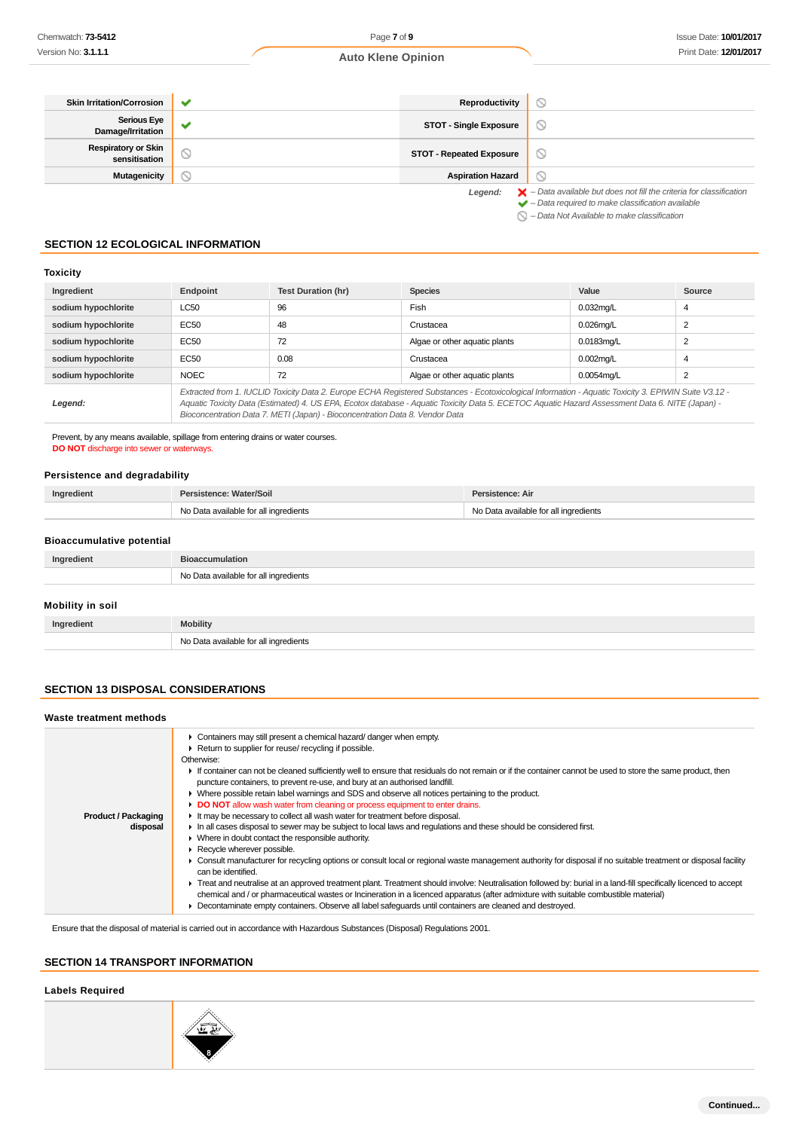| <b>Skin Irritation/Corrosion</b>            |    | Reproductivity                  | D                                                                                                                                                                  |
|---------------------------------------------|----|---------------------------------|--------------------------------------------------------------------------------------------------------------------------------------------------------------------|
| <b>Serious Eye</b><br>Damage/Irritation     |    | <b>STOT - Single Exposure</b>   | $\circ$                                                                                                                                                            |
| <b>Respiratory or Skin</b><br>sensitisation | J. | <b>STOT - Repeated Exposure</b> | $\circ$                                                                                                                                                            |
| <b>Mutagenicity</b>                         | N  | <b>Aspiration Hazard</b>        |                                                                                                                                                                    |
|                                             |    | Legend:                         | $\blacktriangleright$ - Data available but does not fill the criteria for classification<br>$\blacktriangleright$ - Data required to make classification available |

– Data Not Available to make classification

## **SECTION 12 ECOLOGICAL INFORMATION**

### **Toxicity**

| Ingredient          | Endpoint                                                                                                                                                                                                                                                                                                                                                                                 | <b>Test Duration (hr)</b> | <b>Species</b>                | Value        | Source |
|---------------------|------------------------------------------------------------------------------------------------------------------------------------------------------------------------------------------------------------------------------------------------------------------------------------------------------------------------------------------------------------------------------------------|---------------------------|-------------------------------|--------------|--------|
| sodium hypochlorite | LC50                                                                                                                                                                                                                                                                                                                                                                                     | 96                        | Fish                          | $0.032$ mg/L | 4      |
| sodium hypochlorite | EC50                                                                                                                                                                                                                                                                                                                                                                                     | 48                        | Crustacea                     | $0.026$ mg/L | 2      |
| sodium hypochlorite | EC50                                                                                                                                                                                                                                                                                                                                                                                     | 72                        | Algae or other aquatic plants | 0.0183mg/L   | 2      |
| sodium hypochlorite | EC50                                                                                                                                                                                                                                                                                                                                                                                     | 0.08                      | Crustacea                     | $0.002$ mg/L | 4      |
| sodium hypochlorite | <b>NOEC</b>                                                                                                                                                                                                                                                                                                                                                                              | 72                        | Algae or other aquatic plants | 0.0054mg/L   | 2      |
| Legend:             | Extracted from 1. IUCLID Toxicity Data 2. Europe ECHA Registered Substances - Ecotoxicological Information - Aquatic Toxicity 3. EPIWIN Suite V3.12 -<br>Aquatic Toxicity Data (Estimated) 4. US EPA, Ecotox database - Aquatic Toxicity Data 5. ECETOC Aquatic Hazard Assessment Data 6. NITE (Japan) -<br>Bioconcentration Data 7. METI (Japan) - Bioconcentration Data 8. Vendor Data |                           |                               |              |        |

Prevent, by any means available, spillage from entering drains or water courses. **DO NOT** discharge into sewer or waterways.

## **Persistence and degradability**

| Ingredient | Persistence: Water/Soil               | Persistence: Air                      |
|------------|---------------------------------------|---------------------------------------|
|            | No Data available for all ingredients | No Data available for all ingredients |

## **Bioaccumulative potential**

| Ingredient       | <b>Bioaccumulation</b>                |  |
|------------------|---------------------------------------|--|
|                  | No Data available for all ingredients |  |
| Mobility in soil |                                       |  |
| Ingredient       | <b>Mobility</b>                       |  |
|                  | No Data available for all ingredients |  |

### **SECTION 13 DISPOSAL CONSIDERATIONS**

| Waste treatment methods                |                                                                                                                                                                                                                                                                                                                                                                                                                                                                                                                                                                                                                                                                                                                                                                                                                                                                                                                                                                                                                                                                                                                                                                                                                                                                                                                                                                                                                                                                                                           |
|----------------------------------------|-----------------------------------------------------------------------------------------------------------------------------------------------------------------------------------------------------------------------------------------------------------------------------------------------------------------------------------------------------------------------------------------------------------------------------------------------------------------------------------------------------------------------------------------------------------------------------------------------------------------------------------------------------------------------------------------------------------------------------------------------------------------------------------------------------------------------------------------------------------------------------------------------------------------------------------------------------------------------------------------------------------------------------------------------------------------------------------------------------------------------------------------------------------------------------------------------------------------------------------------------------------------------------------------------------------------------------------------------------------------------------------------------------------------------------------------------------------------------------------------------------------|
| <b>Product / Packaging</b><br>disposal | Containers may still present a chemical hazard/ danger when empty.<br>Return to supplier for reuse/ recycling if possible.<br>Otherwise:<br>If container can not be cleaned sufficiently well to ensure that residuals do not remain or if the container cannot be used to store the same product, then<br>puncture containers, to prevent re-use, and bury at an authorised landfill.<br>$\blacktriangleright$ Where possible retain label warnings and SDS and observe all notices pertaining to the product.<br>DO NOT allow wash water from cleaning or process equipment to enter drains.<br>It may be necessary to collect all wash water for treatment before disposal.<br>In all cases disposal to sewer may be subject to local laws and regulations and these should be considered first.<br>• Where in doubt contact the responsible authority.<br>Recycle wherever possible.<br>• Consult manufacturer for recycling options or consult local or regional waste management authority for disposal if no suitable treatment or disposal facility<br>can be identified.<br>Freat and neutralise at an approved treatment plant. Treatment should involve: Neutralisation followed by: burial in a land-fill specifically licenced to accept<br>chemical and / or pharmaceutical wastes or Incineration in a licenced apparatus (after admixture with suitable combustible material)<br>Decontaminate empty containers. Observe all label safeguards until containers are cleaned and destroyed. |

Ensure that the disposal of material is carried out in accordance with Hazardous Substances (Disposal) Regulations 2001.

## **SECTION 14 TRANSPORT INFORMATION**

## **Labels Required**

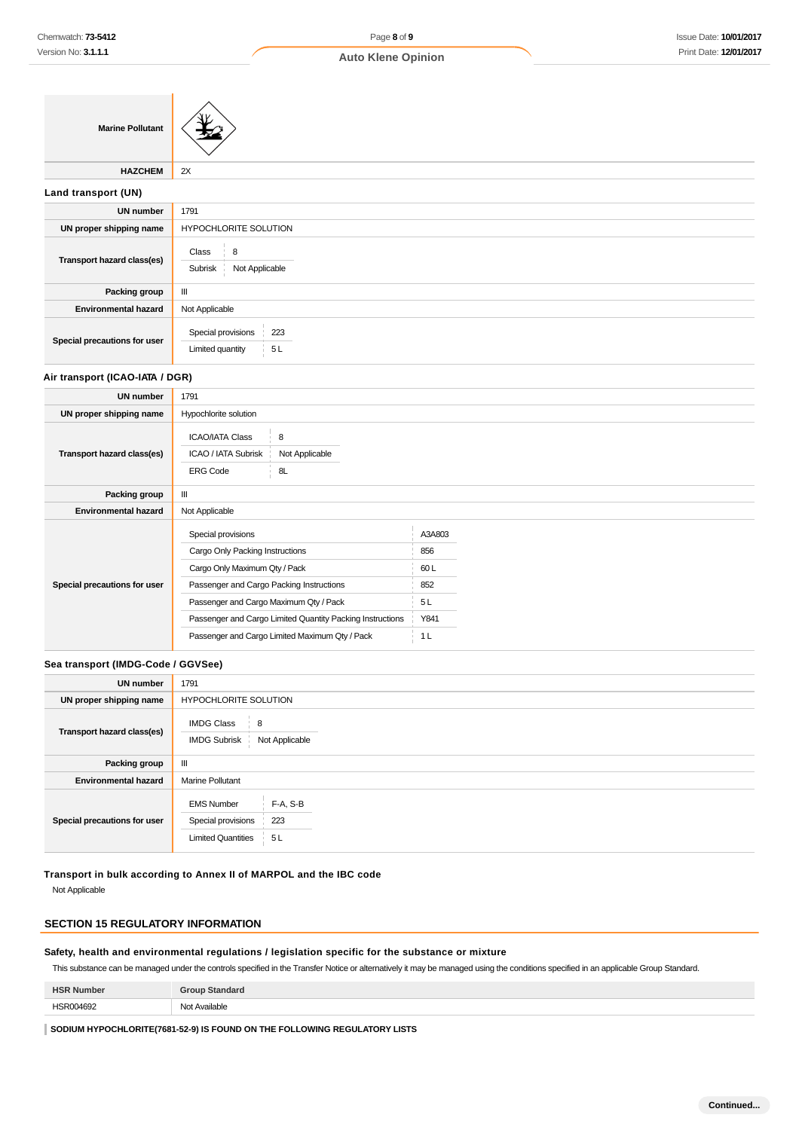$\bigwedge$ 

## **Auto Klene Opinion**

| <b>Marine Pollutant</b>         |                                                                                               |
|---------------------------------|-----------------------------------------------------------------------------------------------|
| <b>HAZCHEM</b>                  | 2X                                                                                            |
| Land transport (UN)             |                                                                                               |
| <b>UN number</b>                | 1791                                                                                          |
| UN proper shipping name         | HYPOCHLORITE SOLUTION                                                                         |
| Transport hazard class(es)      | 8<br>Class<br>÷<br>Not Applicable<br>Subrisk                                                  |
| Packing group                   | Ш                                                                                             |
| <b>Environmental hazard</b>     | Not Applicable                                                                                |
| Special precautions for user    | Special provisions<br>223<br>Limited quantity<br>5L                                           |
| Air transport (ICAO-IATA / DGR) |                                                                                               |
| <b>UN number</b>                | 1791                                                                                          |
| UN proper shipping name         | Hypochlorite solution                                                                         |
| Transport hazard class(es)      | <b>ICAO/IATA Class</b><br>8<br>Not Applicable<br>ICAO / IATA Subrisk<br>8L<br><b>ERG Code</b> |
| Packing group                   | $\mathbf{III}$                                                                                |
| <b>Environmental hazard</b>     | Not Applicable                                                                                |

|                              | Special provisions                                        | A3A803 |
|------------------------------|-----------------------------------------------------------|--------|
|                              | Cargo Only Packing Instructions                           | 856    |
|                              | Cargo Only Maximum Qty / Pack                             | 60 L   |
| Special precautions for user | Passenger and Cargo Packing Instructions                  | 852    |
|                              | Passenger and Cargo Maximum Qty / Pack                    | 5L     |
|                              | Passenger and Cargo Limited Quantity Packing Instructions | Y841   |
|                              | Passenger and Cargo Limited Maximum Qty / Pack            | 1 L    |
|                              |                                                           |        |

## **Sea transport (IMDG-Code / GGVSee)**

| <b>UN number</b>             | 1791                                                                 |                          |
|------------------------------|----------------------------------------------------------------------|--------------------------|
| UN proper shipping name      | HYPOCHLORITE SOLUTION                                                |                          |
| Transport hazard class(es)   | <b>IMDG Class</b><br>$\frac{1}{2}$ 8<br><b>IMDG Subrisk</b>          | Not Applicable           |
| Packing group                | Ш                                                                    |                          |
| <b>Environmental hazard</b>  | <b>Marine Pollutant</b>                                              |                          |
| Special precautions for user | <b>EMS Number</b><br>Special provisions<br><b>Limited Quantities</b> | $F-A, S-B$<br>223<br>5 L |

**Transport in bulk according to Annex II of MARPOL and the IBC code**

Not Applicable

## **SECTION 15 REGULATORY INFORMATION**

#### **Safety, health and environmental regulations / legislation specific for the substance or mixture**

This substance can be managed under the controls specified in the Transfer Notice or alternatively it may be managed using the conditions specified in an applicable Group Standard.

| <b>HSR</b><br>Number | Group Standard |
|----------------------|----------------|
| HSR004692            | Not Available  |

**SODIUM HYPOCHLORITE(7681-52-9) IS FOUND ON THE FOLLOWING REGULATORY LISTS**